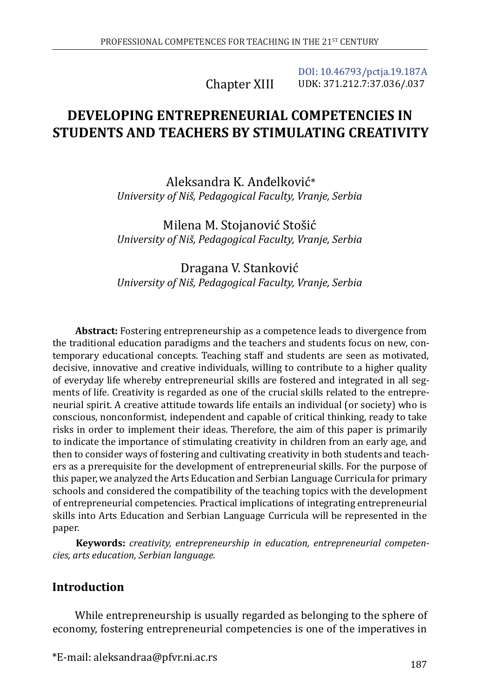Chapter XIII

[DOI: 10.46793/pctja.19.187A](https://doi.org/10.46793/pctja.19.187A) UDK: 371.212.7:37.036/.037

# **DEVELOPING ENTREPRENEURIAL COMPETENCIES IN STUDENTS AND TEACHERS BY STIMULATING CREATIVITY**

Aleksandra K. Anđelković\* *University of Niš, Pedagogical Faculty, Vranje, Serbia*

Milena M. Stojanović Stošić *University of Niš, Pedagogical Faculty, Vranje, Serbia*

Dragana V. Stanković *University of Niš, Pedagogical Faculty, Vranje, Serbia*

**Abstract:** Fostering entrepreneurship as a competence leads to divergence from the traditional education paradigms and the teachers and students focus on new, contemporary educational concepts. Teaching staff and students are seen as motivated, decisive, innovative and creative individuals, willing to contribute to a higher quality of everyday life whereby entrepreneurial skills are fostered and integrated in all segments of life. Creativity is regarded as one of the crucial skills related to the entrepreneurial spirit. A creative attitude towards life entails an individual (or society) who is conscious, nonconformist, independent and capable of critical thinking, ready to take risks in order to implement their ideas. Therefore, the aim of this paper is primarily to indicate the importance of stimulating creativity in children from an early age, and then to consider ways of fostering and cultivating creativity in both students and teachers as a prerequisite for the development of entrepreneurial skills. For the purpose of this paper, we analyzed the Arts Education and Serbian Language Curricula for primary schools and considered the compatibility of the teaching topics with the development of entrepreneurial competencies. Practical implications of integrating entrepreneurial skills into Arts Education and Serbian Language Curricula will be represented in the paper.

**Keywords:** *creativity, entrepreneurship in education, entrepreneurial competencies, arts education, Serbian language.*

# **Introduction**

While entrepreneurship is usually regarded as belonging to the sphere of economy, fostering entrepreneurial competencies is one of the imperatives in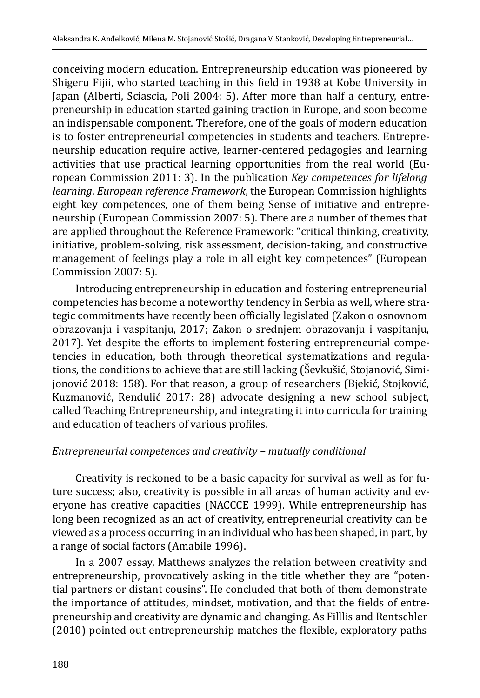conceiving modern education. Entrepreneurship education was pioneered by Shigeru Fijii, who started teaching in this field in 1938 at Kobe University in Japan (Alberti, Sciascia, Poli 2004: 5). After more than half a century, entrepreneurship in education started gaining traction in Europe, and soon become an indispensable component. Therefore, one of the goals of modern education is to foster entrepreneurial competencies in students and teachers. Entrepreneurship education require active, learner-centered pedagogies and learning activities that use practical learning opportunities from the real world (European Commission 2011: 3). In the publication *Key competences for lifelong learning*. *European reference Framework*, the European Commission highlights eight key competences, one of them being Sense of initiative and entrepreneurship (European Commission 2007: 5). There are a number of themes that are applied throughout the Reference Framework: "critical thinking, creativity, initiative, problem-solving, risk assessment, decision-taking, and constructive management of feelings play a role in all eight key competences" (European Commission 2007: 5).

Introducing entrepreneurship in education and fostering entrepreneurial competencies has become a noteworthy tendency in Serbia as well, where strategic commitments have recently been officially legislated (Zakon o osnovnom obrazovanju i vaspitanju, 2017; Zakon o srednjem obrazovanju i vaspitanju, 2017). Yet despite the efforts to implement fostering entrepreneurial competencies in education, both through theoretical systematizations and regulations, the conditions to achieve that are still lacking (Ševkušić, Stojanović, Simijonović 2018: 158). For that reason, a group of researchers (Bjekić, Stojković, Kuzmanović, Rendulić 2017: 28) advocate designing a new school subject, called Teaching Entrepreneurship, and integrating it into curricula for training and education of teachers of various profiles.

## *Entrepreneurial competences and creativity – mutually conditional*

Creativity is reckoned to be a basic capacity for survival as well as for future success; also, creativity is possible in all areas of human activity and everyone has creative capacities (NACCCE 1999). While entrepreneurship has long been recognized as an act of creativity, entrepreneurial creativity can be viewed as a process occurring in an individual who has been shaped, in part, by a range of social factors (Amabile 1996).

In a 2007 essay, Matthews analyzes the relation between creativity and entrepreneurship, provocatively asking in the title whether they are "potential partners or distant cousins". He concluded that both of them demonstrate the importance of attitudes, mindset, motivation, and that the fields of entrepreneurship and creativity are dynamic and changing. As Filllis and Rentschler (2010) pointed out entrepreneurship matches the flexible, exploratory paths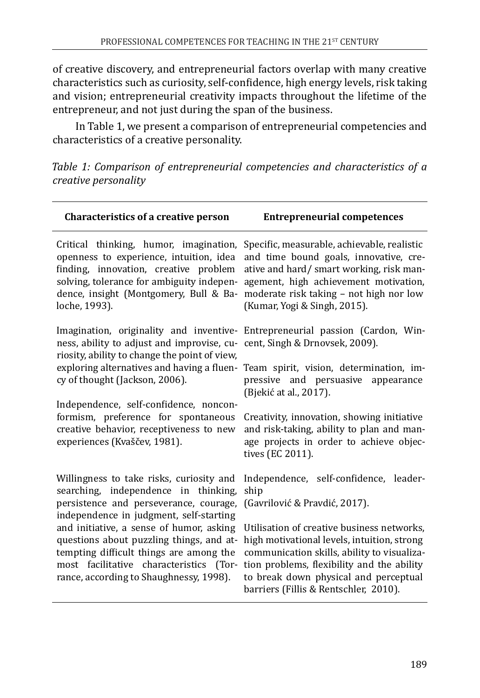of creative discovery, and entrepreneurial factors overlap with many creative characteristics such as curiosity, self-confidence, high energy levels, risk taking and vision; entrepreneurial creativity impacts throughout the lifetime of the entrepreneur, and not just during the span of the business.

In Table 1, we present a comparison of entrepreneurial competencies and characteristics of a creative personality.

*Table 1: Comparison of entrepreneurial competencies and characteristics of a creative personality*

| <b>Characteristics of a creative person</b>                                                                                                                                                                                        | <b>Entrepreneurial competences</b>                                                                                                                                                                                                                                       |  |
|------------------------------------------------------------------------------------------------------------------------------------------------------------------------------------------------------------------------------------|--------------------------------------------------------------------------------------------------------------------------------------------------------------------------------------------------------------------------------------------------------------------------|--|
| Critical thinking, humor, imagination,<br>openness to experience, intuition, idea<br>finding, innovation, creative problem<br>solving, tolerance for ambiguity indepen-<br>dence, insight (Montgomery, Bull & Ba-<br>loche, 1993). | Specific, measurable, achievable, realistic<br>and time bound goals, innovative, cre-<br>ative and hard/smart working, risk man-<br>agement, high achievement motivation,<br>moderate risk taking - not high nor low<br>(Kumar, Yogi & Singh, 2015).                     |  |
| ness, ability to adjust and improvise, cu- cent, Singh & Drnovsek, 2009).<br>riosity, ability to change the point of view,                                                                                                         | Imagination, originality and inventive- Entrepreneurial passion (Cardon, Win-                                                                                                                                                                                            |  |
| exploring alternatives and having a fluen-<br>cy of thought (Jackson, 2006).                                                                                                                                                       | Team spirit, vision, determination, im-<br>pressive and persuasive<br>appearance<br>(Bjekić at al., 2017).                                                                                                                                                               |  |
| Independence, self-confidence, noncon-<br>formism, preference for spontaneous<br>creative behavior, receptiveness to new<br>experiences (Kvaščev, 1981).                                                                           | Creativity, innovation, showing initiative<br>and risk-taking, ability to plan and man-<br>age projects in order to achieve objec-<br>tives (EC 2011).                                                                                                                   |  |
| Willingness to take risks, curiosity and<br>searching, independence in thinking,<br>persistence and perseverance, courage,<br>independence in judgment, self-starting                                                              | Independence, self-confidence, leader-<br>ship<br>(Gavrilović & Pravdić, 2017).                                                                                                                                                                                          |  |
| and initiative, a sense of humor, asking<br>questions about puzzling things, and at-<br>tempting difficult things are among the<br>most facilitative characteristics (Tor-<br>rance, according to Shaughnessy, 1998).              | Utilisation of creative business networks,<br>high motivational levels, intuition, strong<br>communication skills, ability to visualiza-<br>tion problems, flexibility and the ability<br>to break down physical and perceptual<br>barriers (Fillis & Rentschler, 2010). |  |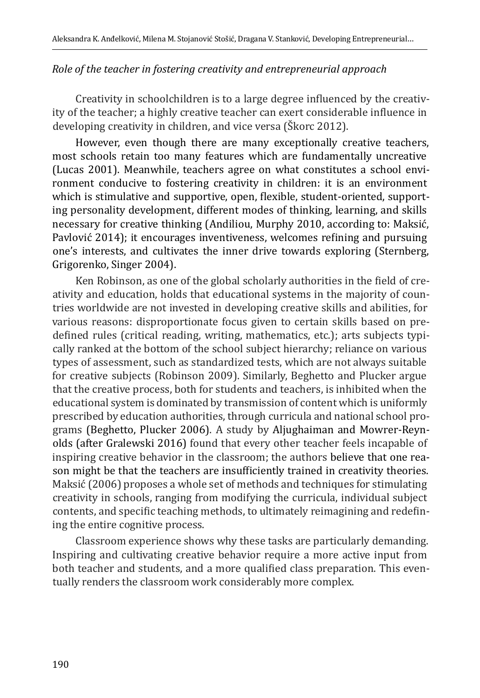## *Role of the teacher in fostering creativity and entrepreneurial approach*

Creativity in schoolchildren is to a large degree influenced by the creativity of the teacher; a highly creative teacher can exert considerable influence in developing creativity in children, and vice versa (Škorc 2012).

However, even though there are many exceptionally creative teachers, most schools retain too many features which are fundamentally uncreative (Lucas 2001). Meanwhile, teachers agree on what constitutes a school environment conducive to fostering creativity in children: it is an environment which is stimulative and supportive, open, flexible, student-oriented, supporting personality development, different modes of thinking, learning, and skills necessary for creative thinking (Andiliou, Murphy 2010, according to: Maksić, Pavlović 2014); it encourages inventiveness, welcomes refining and pursuing one's interests, and cultivates the inner drive towards exploring (Sternberg, Grigorenko, Singer 2004).

Ken Robinson, as one of the global scholarly authorities in the field of creativity and education, holds that educational systems in the majority of countries worldwide are not invested in developing creative skills and abilities, for various reasons: disproportionate focus given to certain skills based on predefined rules (critical reading, writing, mathematics, etc.); arts subjects typically ranked at the bottom of the school subject hierarchy; reliance on various types of assessment, such as standardized tests, which are not always suitable for creative subjects (Robinson 2009). Similarly, Beghetto and Plucker argue that the creative process, both for students and teachers, is inhibited when the educational system is dominated by transmission of content which is uniformly prescribed by education authorities, through curricula and national school programs (Beghetto, Plucker 2006). A study by Aljughaiman and Mowrer-Reynolds (after Gralewski 2016) found that every other teacher feels incapable of inspiring creative behavior in the classroom; the authors believe that one reason might be that the teachers are insufficiently trained in creativity theories. Maksić (2006) proposes a whole set of methods and techniques for stimulating creativity in schools, ranging from modifying the curricula, individual subject contents, and specific teaching methods, to ultimately reimagining and redefining the entire cognitive process.

Classroom experience shows why these tasks are particularly demanding. Inspiring and cultivating creative behavior require a more active input from both teacher and students, and a more qualified class preparation. This eventually renders the classroom work considerably more complex.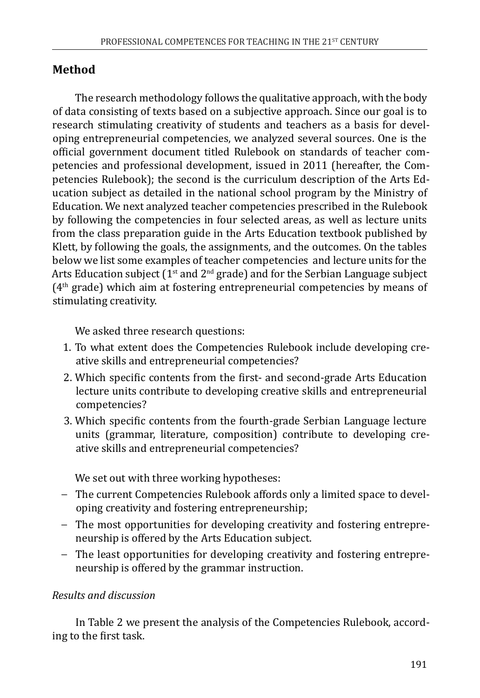# **Method**

The research methodology follows the qualitative approach, with the body of data consisting of texts based on a subjective approach. Since our goal is to research stimulating creativity of students and teachers as a basis for developing entrepreneurial competencies, we analyzed several sources. One is the official government document titled Rulebook on standards of teacher competencies and professional development, issued in 2011 (hereafter, the Competencies Rulebook); the second is the curriculum description of the Arts Education subject as detailed in the national school program by the Ministry of Education. We next analyzed teacher competencies prescribed in the Rulebook by following the competencies in four selected areas, as well as lecture units from the class preparation guide in the Arts Education textbook published by Klett, by following the goals, the assignments, and the outcomes. On the tables below we list some examples of teacher competencies and lecture units for the Arts Education subject  $(1^{st}$  and  $2^{nd}$  grade) and for the Serbian Language subject  $(4<sup>th</sup> grade)$  which aim at fostering entrepreneurial competencies by means of stimulating creativity.

We asked three research questions:

- 1. To what extent does the Competencies Rulebook include developing creative skills and entrepreneurial competencies?
- 2. Which specific contents from the first- and second-grade Arts Education lecture units contribute to developing creative skills and entrepreneurial competencies?
- 3. Which specific contents from the fourth-grade Serbian Language lecture units (grammar, literature, composition) contribute to developing creative skills and entrepreneurial competencies?

We set out with three working hypotheses:

- − The current Competencies Rulebook affords only a limited space to developing creativity and fostering entrepreneurship;
- − The most opportunities for developing creativity and fostering entrepreneurship is offered by the Arts Education subject.
- − The least opportunities for developing creativity and fostering entrepreneurship is offered by the grammar instruction.

## *Results and discussion*

In Table 2 we present the analysis of the Competencies Rulebook, according to the first task.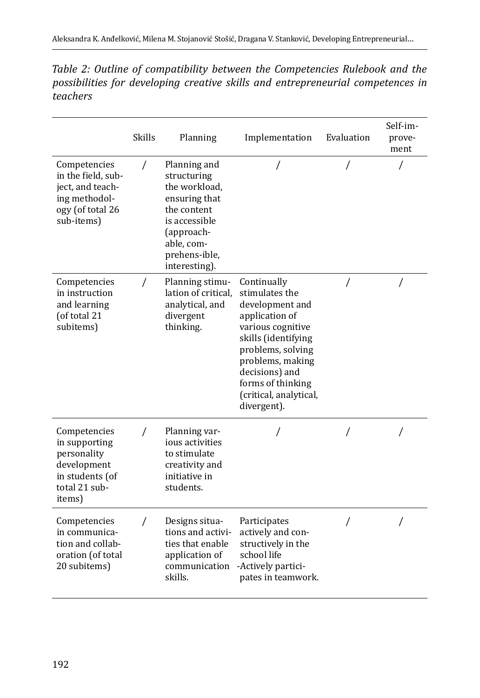| Table 2: Outline of compatibility between the Competencies Rulebook and the     |  |
|---------------------------------------------------------------------------------|--|
| possibilities for developing creative skills and entrepreneurial competences in |  |
| teachers                                                                        |  |

|                                                                                                           | <b>Skills</b> | Planning                                                                                                                                                    | Implementation                                                                                                                                                                                                                          | Evaluation | Self-im-<br>prove-<br>ment |
|-----------------------------------------------------------------------------------------------------------|---------------|-------------------------------------------------------------------------------------------------------------------------------------------------------------|-----------------------------------------------------------------------------------------------------------------------------------------------------------------------------------------------------------------------------------------|------------|----------------------------|
| Competencies<br>in the field, sub-<br>ject, and teach-<br>ing methodol-<br>ogy (of total 26<br>sub-items) | $\prime$      | Planning and<br>structuring<br>the workload,<br>ensuring that<br>the content<br>is accessible<br>(approach-<br>able, com-<br>prehens-ible,<br>interesting). |                                                                                                                                                                                                                                         |            |                            |
| Competencies<br>in instruction<br>and learning<br>(of total 21<br>subitems)                               | $\sqrt{2}$    | Planning stimu-<br>lation of critical.<br>analytical, and<br>divergent<br>thinking.                                                                         | Continually<br>stimulates the<br>development and<br>application of<br>various cognitive<br>skills (identifying<br>problems, solving<br>problems, making<br>decisions) and<br>forms of thinking<br>(critical, analytical,<br>divergent). | $\prime$   | $\prime$                   |
| Competencies<br>in supporting<br>personality<br>development<br>in students (of<br>total 21 sub-<br>items) | 7             | Planning var-<br>ious activities<br>to stimulate<br>creativity and<br>initiative in<br>students.                                                            | 7                                                                                                                                                                                                                                       |            | $\prime$                   |
| Competencies<br>in communica-<br>tion and collab-<br>oration (of total<br>20 subitems)                    | T             | Designs situa-<br>tions and activi-<br>ties that enable<br>application of<br>communication<br>skills.                                                       | Participates<br>actively and con-<br>structively in the<br>school life<br>-Actively partici-<br>pates in teamwork.                                                                                                                      | $\prime$   | $\prime$                   |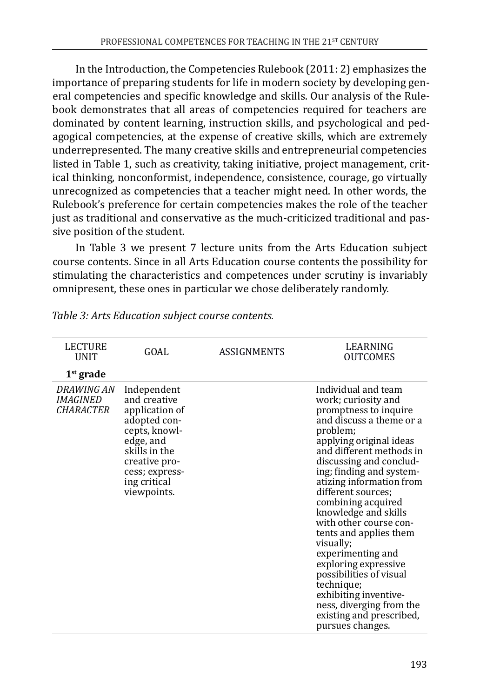In the Introduction, the Competencies Rulebook (2011: 2) emphasizes the importance of preparing students for life in modern society by developing general competencies and specific knowledge and skills. Our analysis of the Rulebook demonstrates that all areas of competencies required for teachers are dominated by content learning, instruction skills, and psychological and pedagogical competencies, at the expense of creative skills, which are extremely underrepresented. The many creative skills and entrepreneurial competencies listed in Table 1, such as creativity, taking initiative, project management, critical thinking, nonconformist, independence, consistence, courage, go virtually unrecognized as competencies that a teacher might need. In other words, the Rulebook's preference for certain competencies makes the role of the teacher just as traditional and conservative as the much-criticized traditional and passive position of the student.

In Table 3 we present 7 lecture units from the Arts Education subject course contents. Since in all Arts Education course contents the possibility for stimulating the characteristics and competences under scrutiny is invariably omnipresent, these ones in particular we chose deliberately randomly.

| <b>LECTURE</b><br>UNIT                            | GOAL                                                                                                                                                                           | ASSIGNMENTS | LEARNING<br><b>OUTCOMES</b>                                                                                                                                                                                                                                                                                                                                                                                                                                                                                                                                                           |
|---------------------------------------------------|--------------------------------------------------------------------------------------------------------------------------------------------------------------------------------|-------------|---------------------------------------------------------------------------------------------------------------------------------------------------------------------------------------------------------------------------------------------------------------------------------------------------------------------------------------------------------------------------------------------------------------------------------------------------------------------------------------------------------------------------------------------------------------------------------------|
| $1st$ grade                                       |                                                                                                                                                                                |             |                                                                                                                                                                                                                                                                                                                                                                                                                                                                                                                                                                                       |
| DRAWING AN<br><i>IMAGINED</i><br><i>CHARACTER</i> | Independent<br>and creative<br>application of<br>adopted con-<br>cepts, knowl-<br>edge, and<br>skills in the<br>creative pro-<br>cess; express-<br>ing critical<br>viewpoints. |             | Individual and team<br>work; curiosity and<br>promptness to inquire<br>and discuss a theme or a<br>problem;<br>applying original ideas<br>and different methods in<br>discussing and conclud-<br>ing; finding and system-<br>atizing information from<br>different sources;<br>combining acquired<br>knowledge and skills<br>with other course con-<br>tents and applies them<br>visually;<br>experimenting and<br>exploring expressive<br>possibilities of visual<br>technique;<br>exhibiting inventive-<br>ness, diverging from the<br>existing and prescribed,<br>pursues changes. |

*Table 3: Arts Education subject course contents.*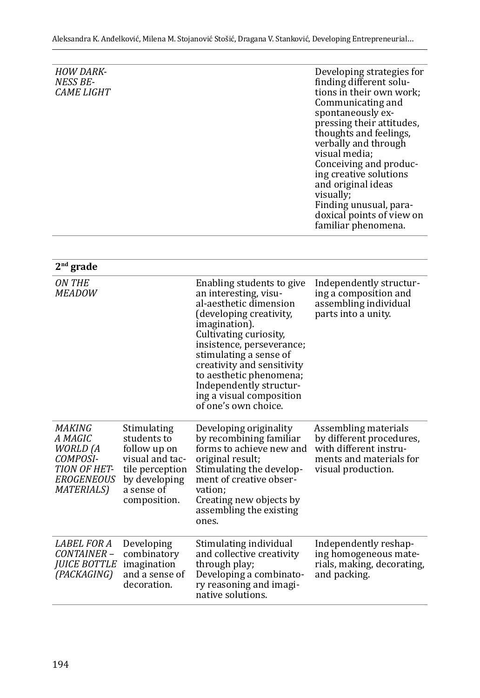| <b>HOW DARK-</b><br>NESS BE-<br><i>CAME LIGHT</i> | Developing strategies for<br>finding different solu-<br>tions in their own work;<br>Communicating and<br>spontaneously ex-<br>pressing their attitudes,<br>thoughts and feelings,<br>verbally and through<br>visual media;<br>Conceiving and produc-<br>ing creative solutions<br>and original ideas<br>visually:<br>Finding unusual, para-<br>doxical points of view on<br>familiar phenomena. |
|---------------------------------------------------|-------------------------------------------------------------------------------------------------------------------------------------------------------------------------------------------------------------------------------------------------------------------------------------------------------------------------------------------------------------------------------------------------|
|                                                   |                                                                                                                                                                                                                                                                                                                                                                                                 |

| $2nd$ grade                                                                                                        |                                                                                                                                 |                                                                                                                                                                                                                                                                                                                                                   |                                                                                                                             |
|--------------------------------------------------------------------------------------------------------------------|---------------------------------------------------------------------------------------------------------------------------------|---------------------------------------------------------------------------------------------------------------------------------------------------------------------------------------------------------------------------------------------------------------------------------------------------------------------------------------------------|-----------------------------------------------------------------------------------------------------------------------------|
| ON THE<br><i>MEADOW</i>                                                                                            |                                                                                                                                 | Enabling students to give<br>an interesting, visu-<br>al-aesthetic dimension<br>(developing creativity,<br>imagination).<br>Cultivating curiosity,<br>insistence, perseverance;<br>stimulating a sense of<br>creativity and sensitivity<br>to aesthetic phenomena;<br>Independently structur-<br>ing a visual composition<br>of one's own choice. | Independently structur-<br>ing a composition and<br>assembling individual<br>parts into a unity.                            |
| MAKING<br>A MAGIC<br><b>WORLD</b> (A<br>COMPOSI-<br><b>TION OF HET-</b><br><i>EROGENEOUS</i><br><i>MATERIALS</i> ) | Stimulating<br>students to<br>follow up on<br>visual and tac-<br>tile perception<br>by developing<br>a sense of<br>composition. | Developing originality<br>by recombining familiar<br>forms to achieve new and<br>original result;<br>Stimulating the develop-<br>ment of creative obser-<br>vation:<br>Creating new objects by<br>assembling the existing<br>ones.                                                                                                                | Assembling materials<br>by different procedures,<br>with different instru-<br>ments and materials for<br>visual production. |
| <i>LABEL FOR A</i><br>CONTAINER –<br><i><b>JUICE BOTTLE</b></i><br>(PACKAGING)                                     | Developing<br>combinatory<br>imagination<br>and a sense of<br>decoration.                                                       | Stimulating individual<br>and collective creativity<br>through play;<br>Developing a combinato-<br>ry reasoning and imagi-<br>native solutions.                                                                                                                                                                                                   | Independently reshap-<br>ing homogeneous mate-<br>rials, making, decorating,<br>and packing.                                |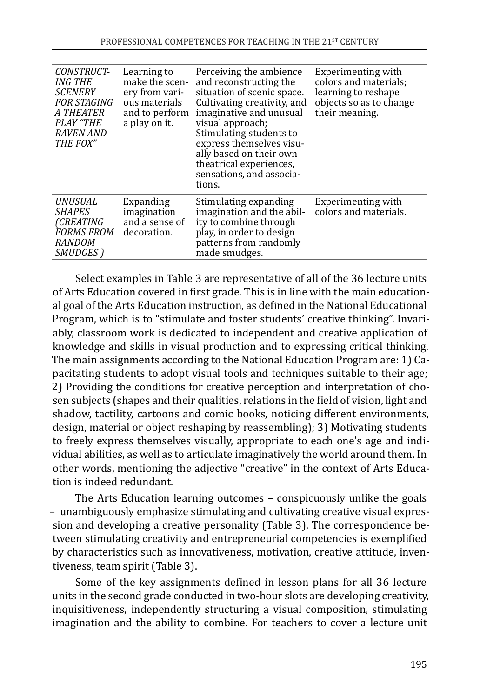| CONSTRUCT-<br>ING THE<br><b>SCENERY</b><br><b>FOR STAGING</b><br><b>A THEATER</b><br>PLAY "THE<br>RAVEN AND<br>THE FOX" | Learning to<br>make the scen-<br>ery from vari-<br>ous materials<br>and to perform<br>a play on it. | Perceiving the ambience<br>and reconstructing the<br>situation of scenic space.<br>Cultivating creativity, and<br>imaginative and unusual<br>visual approach;<br>Stimulating students to<br>express themselves visu-<br>ally based on their own<br>theatrical experiences,<br>sensations, and associa-<br>tions. | Experimenting with<br>colors and materials;<br>learning to reshape<br>objects so as to change<br>their meaning. |
|-------------------------------------------------------------------------------------------------------------------------|-----------------------------------------------------------------------------------------------------|------------------------------------------------------------------------------------------------------------------------------------------------------------------------------------------------------------------------------------------------------------------------------------------------------------------|-----------------------------------------------------------------------------------------------------------------|
| UNUSUAL<br><i>SHAPES</i><br><i>(CREATING</i><br><b>FORMS FROM</b><br><b>RANDOM</b><br>SMUDGES)                          | Expanding<br>imagination<br>and a sense of<br>decoration.                                           | Stimulating expanding<br>imagination and the abil-<br>ity to combine through<br>play, in order to design<br>patterns from randomly<br>made smudges.                                                                                                                                                              | Experimenting with<br>colors and materials.                                                                     |

Select examples in Table 3 are representative of all of the 36 lecture units of Arts Education covered in first grade. This is in line with the main educational goal of the Arts Education instruction, as defined in the National Educational Program, which is to "stimulate and foster students' creative thinking". Invariably, classroom work is dedicated to independent and creative application of knowledge and skills in visual production and to expressing critical thinking. The main assignments according to the National Education Program are: 1) Capacitating students to adopt visual tools and techniques suitable to their age; 2) Providing the conditions for creative perception and interpretation of chosen subjects (shapes and their qualities, relations in the field of vision, light and shadow, tactility, cartoons and comic books, noticing different environments, design, material or object reshaping by reassembling); 3) Motivating students to freely express themselves visually, appropriate to each one's age and individual abilities, as well as to articulate imaginatively the world around them. In other words, mentioning the adjective "creative" in the context of Arts Education is indeed redundant.

The Arts Education learning outcomes – conspicuously unlike the goals – unambiguously emphasize stimulating and cultivating creative visual expression and developing a creative personality (Table 3). The correspondence between stimulating creativity and entrepreneurial competencies is exemplified by characteristics such as innovativeness, motivation, creative attitude, inventiveness, team spirit (Table 3).

Some of the key assignments defined in lesson plans for all 36 lecture units in the second grade conducted in two-hour slots are developing creativity, inquisitiveness, independently structuring a visual composition, stimulating imagination and the ability to combine. For teachers to cover a lecture unit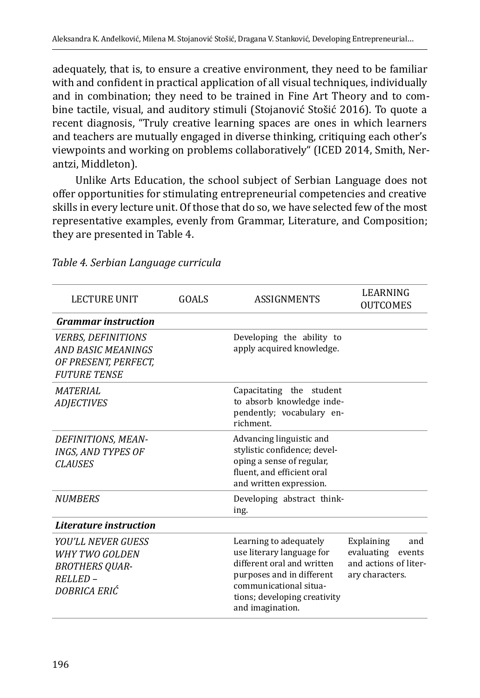adequately, that is, to ensure a creative environment, they need to be familiar with and confident in practical application of all visual techniques, individually and in combination; they need to be trained in Fine Art Theory and to combine tactile, visual, and auditory stimuli (Stojanović Stošić 2016). To quote a recent diagnosis, "Truly creative learning spaces are ones in which learners and teachers are mutually engaged in diverse thinking, critiquing each other's viewpoints and working on problems collaboratively" (ICED 2014, Smith, Nerantzi, Middleton).

Unlike Arts Education, the school subject of Serbian Language does not offer opportunities for stimulating entrepreneurial competencies and creative skills in every lecture unit. Of those that do so, we have selected few of the most representative examples, evenly from Grammar, Literature, and Composition; they are presented in Table 4.

| <b>LECTURE UNIT</b>                                                                                   | GOALS | <b>ASSIGNMENTS</b>                                                                                                                                                                           | LEARNING<br><b>OUTCOMES</b>                                                        |
|-------------------------------------------------------------------------------------------------------|-------|----------------------------------------------------------------------------------------------------------------------------------------------------------------------------------------------|------------------------------------------------------------------------------------|
| <b>Grammar</b> instruction                                                                            |       |                                                                                                                                                                                              |                                                                                    |
| <i><b>VERBS, DEFINITIONS</b></i><br>AND BASIC MEANINGS<br>OF PRESENT, PERFECT,<br><b>FUTURE TENSE</b> |       | Developing the ability to<br>apply acquired knowledge.                                                                                                                                       |                                                                                    |
| <b>MATERIAL</b><br><b>ADJECTIVES</b>                                                                  |       | Capacitating the student<br>to absorb knowledge inde-<br>pendently; vocabulary en-<br>richment.                                                                                              |                                                                                    |
| DEFINITIONS, MEAN-<br><b>INGS, AND TYPES OF</b><br><b>CLAUSES</b>                                     |       | Advancing linguistic and<br>stylistic confidence; devel-<br>oping a sense of regular,<br>fluent, and efficient oral<br>and written expression.                                               |                                                                                    |
| <b>NUMBERS</b>                                                                                        |       | Developing abstract think-<br>ing.                                                                                                                                                           |                                                                                    |
| Literature instruction                                                                                |       |                                                                                                                                                                                              |                                                                                    |
| YOU'LL NEVER GUESS<br>WHY TWO GOLDEN<br><b>BROTHERS QUAR-</b><br>RELLED –<br>DOBRICA ERIĆ             |       | Learning to adequately<br>use literary language for<br>different oral and written<br>purposes and in different<br>communicational situa-<br>tions; developing creativity<br>and imagination. | Explaining<br>and<br>evaluating events<br>and actions of liter-<br>ary characters. |

*Table 4. Serbian Language curricula*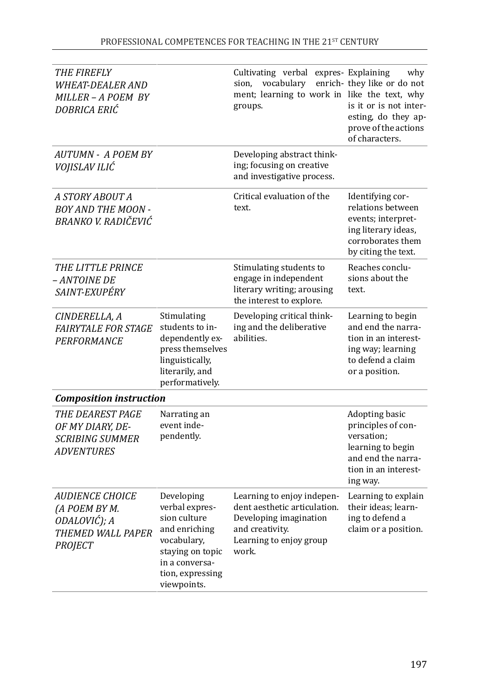| THE FIREFLY<br><i><b>WHEAT-DEALER AND</b></i><br>MILLER - A POEM BY<br>DOBRICA ERIĆ            |                                                                                                                                                       | Cultivating verbal expres- Explaining<br>vocabulary<br>sion,<br>ment; learning to work in like the text, why<br>groups.                     | why<br>enrich-they like or do not<br>is it or is not inter-<br>esting, do they ap-<br>prove of the actions<br>of characters.      |
|------------------------------------------------------------------------------------------------|-------------------------------------------------------------------------------------------------------------------------------------------------------|---------------------------------------------------------------------------------------------------------------------------------------------|-----------------------------------------------------------------------------------------------------------------------------------|
| <b>AUTUMN - A POEM BY</b><br>VOJISLAV ILIĆ                                                     |                                                                                                                                                       | Developing abstract think-<br>ing; focusing on creative<br>and investigative process.                                                       |                                                                                                                                   |
| A STORY ABOUT A<br><b>BOY AND THE MOON -</b><br>BRANKO V. RADIČEVIĆ                            |                                                                                                                                                       | Critical evaluation of the<br>text.                                                                                                         | Identifying cor-<br>relations between<br>events; interpret-<br>ing literary ideas,<br>corroborates them<br>by citing the text.    |
| <i>THE LITTLE PRINCE</i><br>– ANTOINE DE<br>SAINT-EXUPÉRY                                      |                                                                                                                                                       | Stimulating students to<br>engage in independent<br>literary writing; arousing<br>the interest to explore.                                  | Reaches conclu-<br>sions about the<br>text.                                                                                       |
| CINDERELLA, A<br><b>FAIRYTALE FOR STAGE</b><br>PERFORMANCE                                     | Stimulating<br>students to in-<br>dependently ex-<br>press themselves<br>linguistically,<br>literarily, and<br>performatively.                        | Developing critical think-<br>ing and the deliberative<br>abilities.                                                                        | Learning to begin<br>and end the narra-<br>tion in an interest-<br>ing way; learning<br>to defend a claim<br>or a position.       |
| <b>Composition instruction</b>                                                                 |                                                                                                                                                       |                                                                                                                                             |                                                                                                                                   |
| THE DEAREST PAGE<br>OF MY DIARY, DE-<br><b>SCRIBING SUMMER</b><br><b>ADVENTURES</b>            | Narrating an<br>event inde-<br>pendently.                                                                                                             |                                                                                                                                             | Adopting basic<br>principles of con-<br>versation;<br>learning to begin<br>and end the narra-<br>tion in an interest-<br>ing way. |
| <b>AUDIENCE CHOICE</b><br>(A POEM BY M.<br>ODALOVIĆ); A<br>THEMED WALL PAPER<br><b>PROJECT</b> | Developing<br>verbal expres-<br>sion culture<br>and enriching<br>vocabulary,<br>staying on topic<br>in a conversa-<br>tion, expressing<br>viewpoints. | Learning to enjoy indepen-<br>dent aesthetic articulation.<br>Developing imagination<br>and creativity.<br>Learning to enjoy group<br>work. | Learning to explain<br>their ideas; learn-<br>ing to defend a<br>claim or a position.                                             |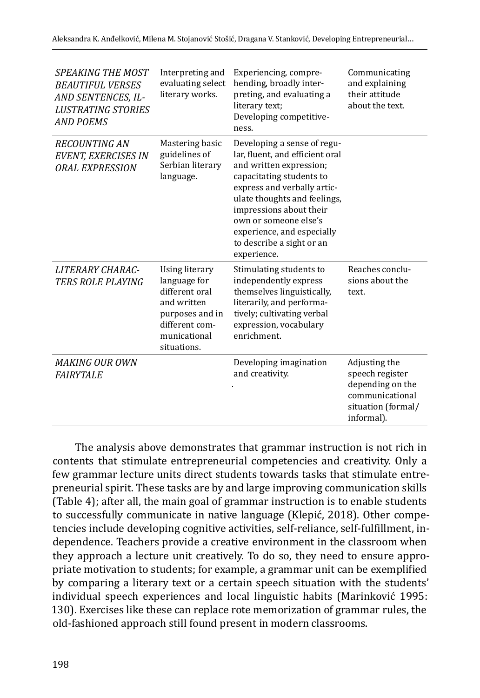| <i>SPEAKING THE MOST</i><br><b>BEAUTIFUL VERSES</b><br>AND SENTENCES, IL-<br><b>LUSTRATING STORIES</b><br><b>AND POEMS</b> | Interpreting and<br>evaluating select<br>literary works.                                                                            | Experiencing, compre-<br>hending, broadly inter-<br>preting, and evaluating a<br>literary text;<br>Developing competitive-<br>ness.                                                                                                                                                                                | Communicating<br>and explaining<br>their attitude<br>about the text.                                        |
|----------------------------------------------------------------------------------------------------------------------------|-------------------------------------------------------------------------------------------------------------------------------------|--------------------------------------------------------------------------------------------------------------------------------------------------------------------------------------------------------------------------------------------------------------------------------------------------------------------|-------------------------------------------------------------------------------------------------------------|
| <b>RECOUNTING AN</b><br>EVENT, EXERCISES IN<br><b>ORAL EXPRESSION</b>                                                      | Mastering basic<br>guidelines of<br>Serbian literary<br>language.                                                                   | Developing a sense of regu-<br>lar, fluent, and efficient oral<br>and written expression;<br>capacitating students to<br>express and verbally artic-<br>ulate thoughts and feelings,<br>impressions about their<br>own or someone else's<br>experience, and especially<br>to describe a sight or an<br>experience. |                                                                                                             |
| <b>LITERARY CHARAC-</b><br><b>TERS ROLE PLAYING</b>                                                                        | Using literary<br>language for<br>different oral<br>and written<br>purposes and in<br>different com-<br>municational<br>situations. | Stimulating students to<br>independently express<br>themselves linguistically,<br>literarily, and performa-<br>tively; cultivating verbal<br>expression, vocabulary<br>enrichment.                                                                                                                                 | Reaches conclu-<br>sions about the<br>text.                                                                 |
| <b>MAKING OUR OWN</b><br><b>FAIRYTALE</b>                                                                                  |                                                                                                                                     | Developing imagination<br>and creativity.                                                                                                                                                                                                                                                                          | Adjusting the<br>speech register<br>depending on the<br>communicational<br>situation (formal/<br>informal). |
|                                                                                                                            |                                                                                                                                     |                                                                                                                                                                                                                                                                                                                    |                                                                                                             |

The analysis above demonstrates that grammar instruction is not rich in contents that stimulate entrepreneurial competencies and creativity. Only a few grammar lecture units direct students towards tasks that stimulate entrepreneurial spirit. These tasks are by and large improving communication skills (Table 4); after all, the main goal of grammar instruction is to enable students to successfully communicate in native language (Klepić, 2018). Other competencies include developing cognitive activities, self-reliance, self-fulfillment, independence. Teachers provide a creative environment in the classroom when they approach a lecture unit creatively. To do so, they need to ensure appropriate motivation to students; for example, a grammar unit can be exemplified by comparing a literary text or a certain speech situation with the students' individual speech experiences and local linguistic habits (Marinković 1995: 130). Exercises like these can replace rote memorization of grammar rules, the old-fashioned approach still found present in modern classrooms.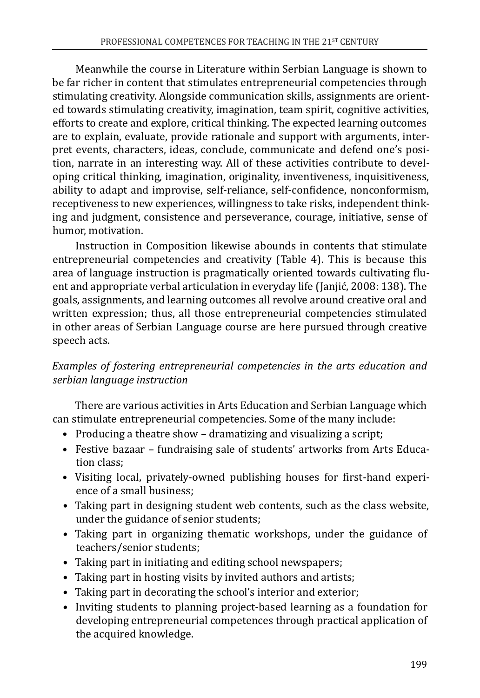Meanwhile the course in Literature within Serbian Language is shown to be far richer in content that stimulates entrepreneurial competencies through stimulating creativity. Alongside communication skills, assignments are oriented towards stimulating creativity, imagination, team spirit, cognitive activities, efforts to create and explore, critical thinking. The expected learning outcomes are to explain, evaluate, provide rationale and support with arguments, interpret events, characters, ideas, conclude, communicate and defend one's position, narrate in an interesting way. All of these activities contribute to developing critical thinking, imagination, originality, inventiveness, inquisitiveness, ability to adapt and improvise, self-reliance, self-confidence, nonconformism, receptiveness to new experiences, willingness to take risks, independent thinking and judgment, consistence and perseverance, courage, initiative, sense of humor, motivation.

Instruction in Composition likewise abounds in contents that stimulate entrepreneurial competencies and creativity (Table 4). This is because this area of language instruction is pragmatically oriented towards cultivating fluent and appropriate verbal articulation in everyday life (Janjić, 2008: 138). The goals, assignments, and learning outcomes all revolve around creative oral and written expression; thus, all those entrepreneurial competencies stimulated in other areas of Serbian Language course are here pursued through creative speech acts.

*Examples of fostering entrepreneurial competencies in the arts education and serbian language instruction*

There are various activities in Arts Education and Serbian Language which can stimulate entrepreneurial competencies. Some of the many include:

- Producing a theatre show dramatizing and visualizing a script;
- Festive bazaar fundraising sale of students' artworks from Arts Education class;
- Visiting local, privately-owned publishing houses for first-hand experience of a small business;
- Taking part in designing student web contents, such as the class website, under the guidance of senior students;
- Taking part in organizing thematic workshops, under the guidance of teachers/senior students;
- Taking part in initiating and editing school newspapers;
- Taking part in hosting visits by invited authors and artists;
- Taking part in decorating the school's interior and exterior;
- Inviting students to planning project-based learning as a foundation for developing entrepreneurial competences through practical application of the acquired knowledge.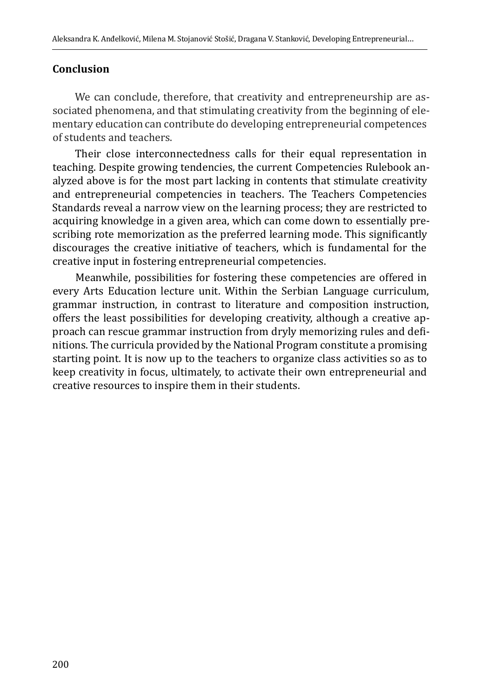#### **Conclusion**

We can conclude, therefore, that creativity and entrepreneurship are associated phenomena, and that stimulating creativity from the beginning of elementary education can contribute do developing entrepreneurial competences of students and teachers.

Their close interconnectedness calls for their equal representation in teaching. Despite growing tendencies, the current Competencies Rulebook analyzed above is for the most part lacking in contents that stimulate creativity and entrepreneurial competencies in teachers. The Teachers Competencies Standards reveal a narrow view on the learning process; they are restricted to acquiring knowledge in a given area, which can come down to essentially prescribing rote memorization as the preferred learning mode. This significantly discourages the creative initiative of teachers, which is fundamental for the creative input in fostering entrepreneurial competencies.

Meanwhile, possibilities for fostering these competencies are offered in every Arts Education lecture unit. Within the Serbian Language curriculum, grammar instruction, in contrast to literature and composition instruction, offers the least possibilities for developing creativity, although a creative approach can rescue grammar instruction from dryly memorizing rules and definitions. The curricula provided by the National Program constitute a promising starting point. It is now up to the teachers to organize class activities so as to keep creativity in focus, ultimately, to activate their own entrepreneurial and creative resources to inspire them in their students.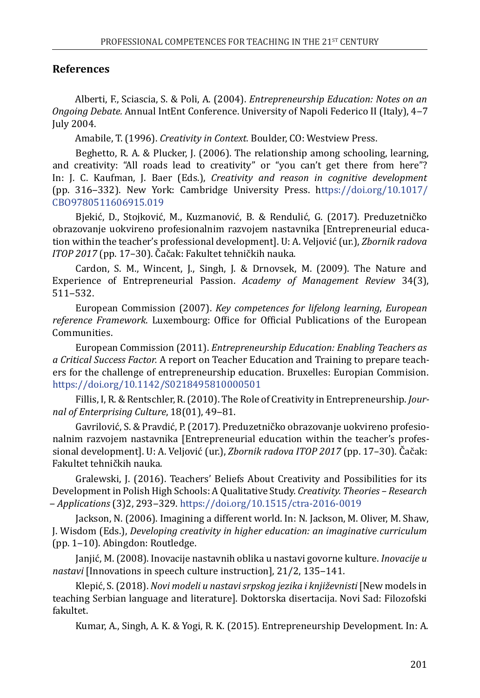#### **References**

Alberti, F., Sciascia, S. & Poli, A. (2004). *Entrepreneurship Education: Notes on an Ongoing Debate.* Annual IntEnt Conference. University of Napoli Federico II (Italy), 4‒7 July 2004.

Amabile, T. (1996). *Creativity in Context.* Boulder, CO: Westview Press.

Beghetto, R. A. & Plucker, J. (2006). The relationship among schooling, learning, and creativity: "All roads lead to creativity" or "you can't get there from here"? In: J. C. Kaufman, J. Baer (Eds.), *Creativity and reason in cognitive development*  (pp. 316‒332). New York: Cambridge University Press. [https://doi.org/10.1017/](https://doi.org/10.1017/CBO9780511606915.019) [CBO9780511606915.019](https://doi.org/10.1017/CBO9780511606915.019)

Bjekić, D., Stojković, M., Kuzmanović, B. & Rendulić, G. (2017). Preduzetničko obrazovanje uokvireno profesionalnim razvojem nastavnika [Entrepreneurial education within the teacher's professional development]. U: A. Veljović (ur.), *Zbornik radova ITOP 2017* (pp. 17–30). Čačak: Fakultet tehničkih nauka.

Cardon, S. M., Wincent, J., Singh, J. & Drnovsek, M. (2009). The Nature and Experience of Entrepreneurial Passion. *Academy of Management Review* 34(3), 511‒532.

European Commission (2007). *Key competences for lifelong learning*, *European reference Framework*. Luxembourg: Office for Official Publications of the European Communities.

European Commission (2011). *Entrepreneurship Education: Enabling Teachers as a Critical Success Factor.* A report on Teacher Education and Training to prepare teachers for the challenge of entrepreneurship education. Bruxelles: Europian Commision. <https://doi.org/10.1142/S0218495810000501>

Fillis, I, R. & Rentschler, R. (2010). The Role of Creativity in Entrepreneurship. *Journal of Enterprising Culture*, 18(01), 49‒81.

Gavrilović, S. & Pravdić, P. (2017). Preduzetničko obrazovanje uokvireno profesionalnim razvojem nastavnika [Entrepreneurial education within the teacher's professional development]. U: A. Veljović (ur.), *Zbornik radova ITOP 2017* (pp. 17–30). Čačak: Fakultet tehničkih nauka.

Gralewski, J. (2016). Teachers' Beliefs About Creativity and Possibilities for its Development in Polish High Schools: A Qualitative Study. *Creativity. Theories – Research ‒ Applications* (3)2, 293‒329. <https://doi.org/10.1515/ctra-2016-0019>

Jackson, N. (2006). Imagining a different world. In: N. Jackson, M. Oliver, M. Shaw, J. Wisdom (Eds.), *Developing creativity in higher education: an imaginative curriculum*  (pp. 1‒10). Abingdon: Routledge.

Janjić, M. (2008). Inovacije nastavnih oblika u nastavi govorne kulture. *Inovacije u nastavi* [Innovations in speech culture instruction], 21/2, 135-141.

Klepić, S. (2018). *Novi modeli u nastavi srpskog jezika i književnisti* [New models in teaching Serbian language and literature]. Doktorska disertacija. Novi Sad: Filozofski fakultet.

Kumar, A., Singh, A. K. & Yogi, R. K. (2015). Entrepreneurship Development. In: A.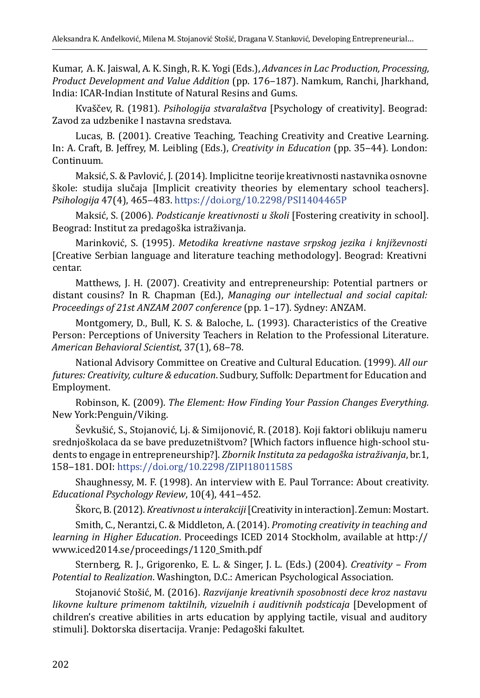Kumar, A. K. Jaiswal, A. K. Singh, R. K. Yogi (Eds.), *Advances in Lac Production, Processing, Product Development and Value Addition* (pp. 176‒187). Namkum, Ranchi, Jharkhand, India: ICAR-Indian Institute of Natural Resins and Gums.

Кvaščev, R. (1981). *Psihologija stvaralaštva* [Psychology of creativity]. Beograd: Zavod za udzbenike I nastavna sredstava.

Lucas, B. (2001). Creative Teaching, Teaching Creativity and Creative Learning. In: A. Craft, B. Jeffrey, M. Leibling (Eds.), *Creativity in Education* (pp. 35–44). London: Continuum.

Maksić, S. & Pavlović, J. (2014). Implicitne teorije kreativnosti nastavnika osnovne škole: studija slučaja [Implicit creativity theories by elementary school teachers]. *Psihologija* 47(4), 465‒483.<https://doi.org/10.2298/PSI1404465P>

Maksić, S. (2006). *Podsticanje kreativnosti u školi* [Fostering creativity in school]. Beograd: Institut za predagoška istraživanja.

Marinković, S. (1995). *Metodika kreativne nastave srpskog jezika i knji*ž*evnosti* [Creative Serbian language and literature teaching methodology]. Beograd: Kreativni centar.

Matthews, J. H. (2007). Creativity and entrepreneurship: Potential partners or distant cousins? In R. Chapman (Ed.), *Managing our intellectual and social capital: Proceedings of 21st ANZAM 2007 conference* (pp. 1–17). Sydney: ANZAM.

Montgomery, D., Bull, K. S. & Baloche, L. (1993). Characteristics of the Creative Person: Perceptions of University Teachers in Relation to the Professional Literature. *American Behavioral Scientist*, 37(1), 68‒78.

National Advisory Committee on Creative and Cultural Education. (1999). *All our futures: Creativity, culture & education*. Sudbury, Suffolk: Department for Education and Employment.

Robinson, K. (2009). *The Element: How Finding Your Passion Changes Everything.*  New York:Penguin/Viking.

Ševkušić, S., Stojanović, Lj. & Simijonović, R. (2018). Koji faktori oblikuju nameru srednjoškolaca da se bave preduzetništvom? [Which factors influence high-school students to engage in entrepreneurship?]. *Zbornik Instituta za pedagoška istraživanja*, br.1, 158‒181. DOI:<https://doi.org/10.2298/ZIPI1801158S>

Shaughnessy, M. F. (1998). An interview with E. Paul Torrance: About creativity. *Educational Psychology Review, 10(4), 441-452.* 

Škorc, B. (2012). *Kreativnost u interakciji* [Creativity in interaction]. Zemun: Mostart.

Smith, C., Nerantzi, C. & Middleton, A. (2014). *Promoting creativity in teaching and learning in Higher Education*. Proceedings ICED 2014 Stockholm, available at [http://](http://www.iced2014.se/proceedings/1120_Smith.pdf) [www.iced2014.se/proceedings/1120\\_Smith.pdf](http://www.iced2014.se/proceedings/1120_Smith.pdf)

Sternberg, R. J., Grigorenko, E. L. & Singer, J. L. (Eds.) (2004). *Creativity – From Potential to Realization*. Washington, D.C.: American Psychological Association.

Stojanović Stošić, M. (2016). *Razvijanje kreativnih sposobnosti dece kroz nastavu likovne kulture primenom taktilnih, vizuelnih i auditivnih podsticaja* [Development of children's creative abilities in arts education by applying tactile, visual and auditory stimuli]. Doktorska disertacija. Vranje: Pedagoški fakultet.